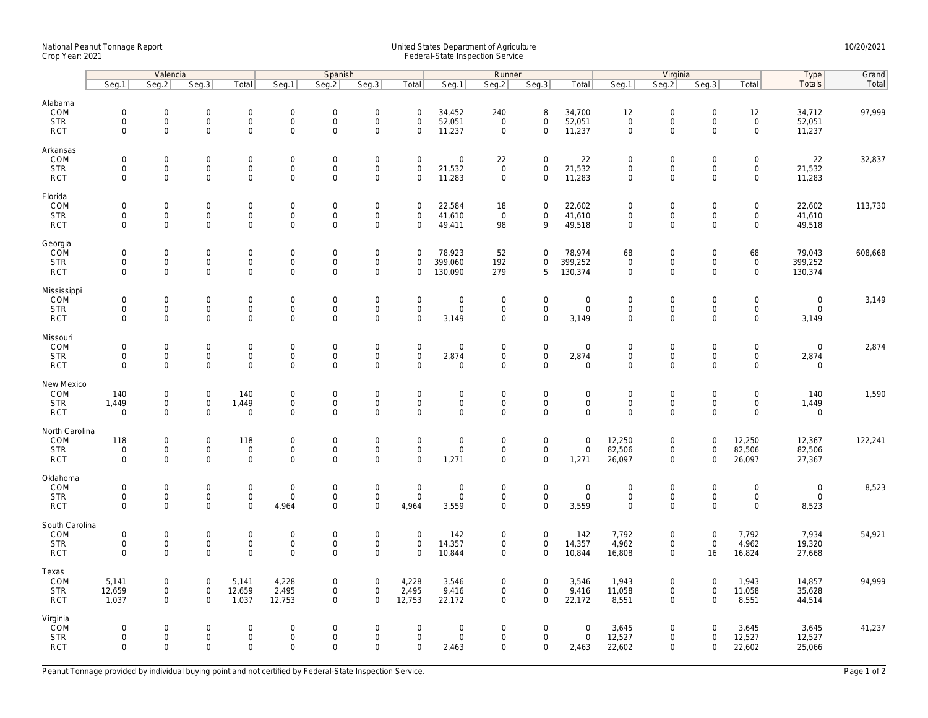## National Peanut Tonnage Report United States Department of Agriculture 10/20/2021<br>Crop Year: 2021 Federal-State Inspection Service

|                                                    | Valencia                                          |                                                           |                                                           |                                                 | Spanish                                            |                                            |                                                         |                                                           | Runner                                            |                                                           |                                                           |                                                   |                                                   | Virginia                                            |                                                        | Type                                                      | Grand                                       |         |
|----------------------------------------------------|---------------------------------------------------|-----------------------------------------------------------|-----------------------------------------------------------|-------------------------------------------------|----------------------------------------------------|--------------------------------------------|---------------------------------------------------------|-----------------------------------------------------------|---------------------------------------------------|-----------------------------------------------------------|-----------------------------------------------------------|---------------------------------------------------|---------------------------------------------------|-----------------------------------------------------|--------------------------------------------------------|-----------------------------------------------------------|---------------------------------------------|---------|
|                                                    | Seq.1                                             | Seg.2                                                     | Seg.3                                                     | Total                                           | Seg.1                                              | Seq.2                                      | Seg.3                                                   | Total                                                     | Seq.1                                             | Seg.2                                                     | Seq.3                                                     | Total                                             | Seq.1                                             | Seq.2                                               | Seq.3                                                  | Total                                                     | Totals                                      | Total   |
| Alabama<br>COM<br><b>STR</b><br><b>RCT</b>         | $\mathbf 0$<br>$\mathsf{O}\xspace$<br>$\mathsf 0$ | $\mathbf 0$<br>$\mathsf{O}\xspace$<br>$\mathbf 0$         | $\mathbf 0$<br>$\mathbf 0$<br>$\mathbf 0$                 | $\mathsf{O}\xspace$<br>0<br>$\mathsf{O}\xspace$ | $\mathbf 0$<br>$\mathsf{O}\xspace$<br>$\mathbf 0$  | $\mathbf 0$<br>$\mathsf{O}$<br>0           | $\mathbf 0$<br>$\boldsymbol{0}$<br>$\mathbf 0$          | $\mathbf 0$<br>$\mathbf 0$<br>$\mathsf{O}\xspace$         | 34,452<br>52,051<br>11,237                        | 240<br>$\overline{0}$<br>$\mathbf 0$                      | 8<br>0<br>0                                               | 34,700<br>52,051<br>11,237                        | 12<br>$\mathsf{O}\xspace$<br>$\mathbf 0$          | $\mathbf 0$<br>$\boldsymbol{0}$<br>$\mathbf 0$      | $\mathbf 0$<br>$\mathbf 0$<br>$\mathbf 0$              | 12<br>$\mathsf{O}\xspace$<br>$\mathsf{O}\xspace$          | 34,712<br>52,051<br>11,237                  | 97,999  |
| Arkansas<br>COM<br><b>STR</b><br><b>RCT</b>        | $\mathsf 0$<br>$\mathsf 0$<br>$\mathbf 0$         | $\mathsf{O}\xspace$<br>$\mathsf{O}\xspace$<br>$\Omega$    | $\mathbf 0$<br>$\mathbf 0$<br>$\Omega$                    | 0<br>$\mathbf 0$<br>$\mathbf 0$                 | $\mathbf 0$<br>$\mathbf 0$<br>$\mathbf 0$          | 0<br>0<br>$\mathsf{O}$                     | $\mathbf 0$<br>$\mathbf 0$<br>$\mathbf{0}$              | $\mathsf{O}\xspace$<br>$\mathbf 0$<br>$\mathbf 0$         | $\mathbf 0$<br>21,532<br>11,283                   | 22<br>$\mathsf 0$<br>$\mathbf 0$                          | $\mathbf 0$<br>0<br>$\mathbf 0$                           | 22<br>21,532<br>11,283                            | $\mathbf 0$<br>$\mathbf 0$<br>$\mathbf 0$         | $\mathbf 0$<br>$\mathbf 0$<br>$\mathbf{0}$          | $\mathbf 0$<br>$\mathbf 0$<br>$\Omega$                 | $\mathbf 0$<br>$\mathsf{O}\xspace$<br>$\mathbf 0$         | 22<br>21,532<br>11,283                      | 32,837  |
| Florida<br>COM<br><b>STR</b><br><b>RCT</b>         | $\mathbf 0$<br>$\mathsf 0$<br>$\mathbf 0$         | $\mathbf 0$<br>$\mathsf{O}\xspace$<br>$\mathbf 0$         | $\mathbf 0$<br>$\mathbf 0$<br>$\mathbf 0$                 | 0<br>$\mathsf{O}$<br>$\mathbf 0$                | $\mathbf 0$<br>$\mathbf 0$<br>$\mathbf{0}$         | $\mathbf 0$<br>$\mathbf 0$<br>$\mathbf{0}$ | $\boldsymbol{0}$<br>$\mathsf{O}$<br>$\mathbf 0$         | $\mathbf 0$<br>$\mathbf 0$<br>$\mathbf 0$                 | 22,584<br>41,610<br>49,411                        | 18<br>$\overline{0}$<br>98                                | 0<br>$\mathsf{O}$<br>9                                    | 22,602<br>41,610<br>49,518                        | $\mathsf{O}\xspace$<br>$\mathsf 0$<br>$\mathbf 0$ | $\mathbf 0$<br>$\mathbf 0$<br>$\mathbf{0}$          | $\mathbf 0$<br>$\mathsf{O}\xspace$<br>$\Omega$         | $\mathbf 0$<br>$\mathsf{O}\xspace$<br>$\mathbf 0$         | 22,602<br>41,610<br>49,518                  | 113,730 |
| Georgia<br>COM<br><b>STR</b><br><b>RCT</b>         | $\mathsf{O}\xspace$<br>$\mathbf 0$<br>$\mathbf 0$ | $\mathbf 0$<br>$\mathsf{O}\xspace$<br>$\mathbf 0$         | $\mathbf 0$<br>$\mathbf 0$<br>$\mathbf 0$                 | 0<br>$\mathbf 0$<br>$\mathbf 0$                 | $\mathbf 0$<br>$\mathbf 0$<br>$\mathbf 0$          | $\mathbf 0$<br>$\mathbf 0$<br>$\mathbf 0$  | $\mathbf 0$<br>$\mathsf{O}\xspace$<br>$\mathbf 0$       | $\mathbf 0$<br>$\mathbf 0$<br>$\mathbf 0$                 | 78,923<br>399,060<br>130,090                      | 52<br>192<br>279                                          | 0<br>0<br>5                                               | 78,974<br>399,252<br>130,374                      | 68<br>$\mathsf 0$<br>$\mathsf 0$                  | $\mathbf 0$<br>$\mathbf 0$<br>$\mathbf 0$           | $\mathbf 0$<br>$\mathsf{O}\xspace$<br>$\mathbf 0$      | 68<br>$\mathsf 0$<br>$\mathbf 0$                          | 79,043<br>399,252<br>130,374                | 608,668 |
| Mississippi<br>COM<br><b>STR</b><br><b>RCT</b>     | $\mathsf 0$<br>$\mathbf 0$<br>$\mathbf 0$         | $\mathsf{O}\xspace$<br>$\mathbf 0$<br>$\mathbf 0$         | $\mathsf{O}\xspace$<br>$\mathbf 0$<br>$\mathbf 0$         | 0<br>$\mathsf{O}$<br>0                          | $\mathbf 0$<br>$\mathbf 0$<br>$\mathbf{0}$         | 0<br>$\mathsf{O}$<br>$\mathbf 0$           | $\mathbf 0$<br>$\mathbf 0$<br>$\mathbf 0$               | $\mathsf{O}\xspace$<br>$\mathsf{O}\xspace$<br>$\mathbf 0$ | $\mathsf 0$<br>$\mathsf{O}\xspace$<br>3,149       | $\mathbf 0$<br>$\mathbf 0$<br>$\mathbf 0$                 | 0<br>$\mathsf{O}\xspace$<br>0                             | $\mathbf 0$<br>$\mathbf 0$<br>3,149               | $\mathbf 0$<br>$\mathbf 0$<br>$\mathbf{0}$        | $\mathbf 0$<br>$\mathbf 0$<br>$\mathbf 0$           | $\mathsf{O}\xspace$<br>$\mathbf 0$<br>$\mathbf 0$      | $\mathbf 0$<br>$\mathsf{O}\xspace$<br>$\mathbf 0$         | $\mathsf{O}\xspace$<br>$\mathbf 0$<br>3,149 | 3,149   |
| Missouri<br>COM<br><b>STR</b><br><b>RCT</b>        | $\mathsf 0$<br>$\mathbf 0$<br>$\Omega$            | $\mathbf 0$<br>$\mathsf{O}\xspace$<br>$\Omega$            | $\mathsf{O}\xspace$<br>$\mathbf 0$<br>$\Omega$            | 0<br>0<br>$\mathbf 0$                           | $\mathbf 0$<br>$\mathbf 0$<br>$\mathbf{0}$         | $\overline{0}$<br>0<br>$\Omega$            | $\boldsymbol{0}$<br>$\mathbf 0$<br>$\mathbf 0$          | $\mathsf{O}\xspace$<br>$\mathbf 0$<br>$\Omega$            | $\mathbf 0$<br>2,874<br>$\Omega$                  | $\mathsf{O}\xspace$<br>$\mathbf 0$<br>$\mathbf 0$         | $\mathsf{O}\xspace$<br>$\mathsf{O}\xspace$<br>$\mathbf 0$ | $\mathbf 0$<br>2,874<br>$\overline{0}$            | $\mathbf 0$<br>$\mathbf 0$<br>$\Omega$            | $\boldsymbol{0}$<br>$\boldsymbol{0}$<br>$\mathbf 0$ | $\mathsf{O}\xspace$<br>$\mathsf{O}\xspace$<br>$\Omega$ | $\mathbf 0$<br>$\mathsf{O}\xspace$<br>$\Omega$            | $\mathbf 0$<br>2,874<br>$\overline{0}$      | 2,874   |
| New Mexico<br>COM<br><b>STR</b><br><b>RCT</b>      | 140<br>1,449<br>$\mathbf 0$                       | $\mathsf{O}\xspace$<br>$\mathsf{O}\xspace$<br>$\mathbf 0$ | $\mathsf{O}\xspace$<br>$\mathsf{O}\xspace$<br>$\mathbf 0$ | 140<br>1,449<br>0                               | $\mathsf{O}$<br>$\mathsf{O}\xspace$<br>$\mathbf 0$ | $\mathbf 0$<br>$\mathbf 0$<br>0            | $\boldsymbol{0}$<br>$\mathsf{O}\xspace$<br>$\mathbf{0}$ | $\mathbf 0$<br>$\mathsf{O}\xspace$<br>$\mathbf 0$         | $\mathbf 0$<br>$\mathsf{O}\xspace$<br>$\mathbf 0$ | $\mathsf{O}\xspace$<br>$\mathsf{O}\xspace$<br>$\mathbf 0$ | 0<br>$\mathsf{O}\xspace$<br>0                             | $\mathbf 0$<br>$\mathsf{O}\xspace$<br>$\mathbf 0$ | $\overline{0}$<br>$\mathsf 0$<br>$\mathbf 0$      | $\mathbf 0$<br>$\mathbf 0$<br>$\mathbf 0$           | $\mathbf 0$<br>$\mathsf{O}\xspace$<br>$\mathbf 0$      | $\mathsf{O}\xspace$<br>$\mathsf{O}\xspace$<br>$\mathbf 0$ | 140<br>1,449<br>$\mathsf{O}\xspace$         | 1,590   |
| North Carolina<br>COM<br><b>STR</b><br><b>RCT</b>  | 118<br>$\mathbf 0$<br>$\mathbf 0$                 | $\mathsf{O}\xspace$<br>$\mathbf 0$<br>$\mathbf 0$         | $\mathsf{O}\xspace$<br>$\mathbf 0$<br>$\mathbf 0$         | 118<br>$\mathbf 0$<br>0                         | $\mathbf 0$<br>$\mathbf 0$<br>$\mathbf 0$          | $\mathbf 0$<br>$\mathbf 0$<br>0            | $\mathbf 0$<br>$\mathbf 0$<br>$\mathbf 0$               | $\mathbf 0$<br>$\mathbf 0$<br>$\mathbf 0$                 | $\mathbf 0$<br>$\mathbf 0$<br>1,271               | $\mathsf{O}\xspace$<br>$\mathbf 0$<br>$\mathbf 0$         | $\mathbf 0$<br>$\mathbf 0$<br>0                           | $\mathbf{0}$<br>$\mathbf 0$<br>1,271              | 12,250<br>82,506<br>26,097                        | $\mathbf 0$<br>$\mathbf 0$<br>$\mathbf 0$           | $\mathbf 0$<br>$\mathbf 0$<br>$\mathbf 0$              | 12,250<br>82,506<br>26,097                                | 12,367<br>82,506<br>27,367                  | 122,241 |
| Oklahoma<br>COM<br><b>STR</b><br><b>RCT</b>        | $\mathsf 0$<br>$\mathbf 0$<br>$\mathbf 0$         | $\mathsf{O}\xspace$<br>$\mathsf 0$<br>$\Omega$            | $\mathbf 0$<br>$\mathbf 0$<br>$\mathbf 0$                 | 0<br>$\mathbf 0$<br>0                           | $\mathbf 0$<br>$\mathbf 0$<br>4,964                | 0<br>0<br>0                                | $\mathbf 0$<br>$\mathsf 0$<br>$\mathbf 0$               | $\mathbf 0$<br>$\mathbf 0$<br>4,964                       | $\mathsf 0$<br>$\mathsf 0$<br>3,559               | $\mathsf{O}\xspace$<br>$\mathsf{O}\xspace$<br>$\mathbf 0$ | 0<br>0<br>0                                               | $\mathbf 0$<br>$\mathbf 0$<br>3,559               | $\mathbf 0$<br>$\mathbf 0$<br>$\mathbf 0$         | $\mathbf 0$<br>$\mathbf 0$<br>$\mathbf 0$           | $\mathsf{O}\xspace$<br>$\mathsf{O}\xspace$<br>$\Omega$ | $\mathbf 0$<br>$\mathbf 0$<br>$\mathbf 0$                 | $\mathbf 0$<br>$\mathbf 0$<br>8,523         | 8,523   |
| South Carolina<br>COM<br><b>STR</b><br><b>RCT</b>  | $\mathsf{O}\xspace$<br>$\mathsf 0$<br>$\mathbf 0$ | $\mathsf{O}\xspace$<br>$\mathsf 0$<br>$\mathbf 0$         | $\mathsf{O}\xspace$<br>$\mathbf 0$<br>$\mathbf 0$         | 0<br>$\mathsf{O}\xspace$<br>$\mathbf 0$         | $\mathsf{O}\xspace$<br>$\mathbf 0$<br>$\mathbf 0$  | $\mathbf 0$<br>0<br>$\mathbf{0}$           | $\boldsymbol{0}$<br>$\mathsf{O}\xspace$<br>$\mathbf{0}$ | $\mathsf{O}\xspace$<br>$\mathbf 0$<br>$\mathbf 0$         | 142<br>14,357<br>10,844                           | $\mathsf{O}\xspace$<br>$\mathbf 0$<br>$\mathbf 0$         | $\mathsf{O}\xspace$<br>$\mathsf{O}\xspace$<br>$\mathbf 0$ | 142<br>14,357<br>10,844                           | 7,792<br>4,962<br>16,808                          | $\boldsymbol{0}$<br>$\mathbf 0$<br>$\mathbf 0$      | $\mathsf{O}\xspace$<br>$\mathbf 0$<br>16               | 7,792<br>4,962<br>16,824                                  | 7,934<br>19,320<br>27,668                   | 54,921  |
| Texas<br>COM<br><b>STR</b><br><b>RCT</b>           | 5,141<br>12,659<br>1,037                          | $\mathsf{O}\xspace$<br>$\mathsf 0$<br>$\mathbf 0$         | $\mathsf{O}\xspace$<br>$\mathbf 0$<br>$\mathbf 0$         | 5,141<br>12,659<br>1,037                        | 4,228<br>2,495<br>12,753                           | 0<br>$\mathbf 0$<br>$\mathsf{O}$           | $\mathbf 0$<br>$\mathsf 0$<br>$\mathbf 0$               | 4,228<br>2,495<br>12,753                                  | 3,546<br>9,416<br>22,172                          | 0<br>$\mathsf{O}\xspace$<br>$\mathbf 0$                   | 0<br>$\mathsf{O}\xspace$<br>$\mathbf 0$                   | 3,546<br>9,416<br>22,172                          | 1,943<br>11,058<br>8,551                          | $\boldsymbol{0}$<br>$\boldsymbol{0}$<br>$\mathbf 0$ | $\mathbf 0$<br>$\mathsf{O}\xspace$<br>$\mathbf 0$      | 1,943<br>11,058<br>8,551                                  | 14,857<br>35,628<br>44,514                  | 94,999  |
| Virginia<br><b>ČOM</b><br><b>STR</b><br><b>RCT</b> | $\mathbf 0$<br>$\mathsf 0$<br>$\mathbf 0$         | $\mathbf 0$<br>$\mathsf{O}\xspace$<br>$\mathbf 0$         | $\mathbf 0$<br>$\mathbf 0$<br>$\mathbf 0$                 | 0<br>0<br>0                                     | $\mathbf 0$<br>$\mathbf 0$<br>$\mathbf 0$          | 0<br>$\mathbf 0$<br>$\mathbf 0$            | $\boldsymbol{0}$<br>$\mathbf 0$<br>$\mathbf 0$          | $\mathbf 0$<br>$\mathbf 0$<br>$\mathbf 0$                 | $\boldsymbol{0}$<br>$\mathsf 0$<br>2,463          | $\mathbf 0$<br>$\mathbf 0$<br>$\mathbf 0$                 | 0<br>0<br>0                                               | $\mathbf 0$<br>$\mathbf 0$<br>2,463               | 3,645<br>12,527<br>22,602                         | $\mathbf 0$<br>$\mathbf 0$<br>$\mathbf 0$           | $\mathbf 0$<br>$\mathbf 0$<br>$\mathbf 0$              | 3,645<br>12,527<br>22,602                                 | 3,645<br>12,527<br>25,066                   | 41,237  |

Peanut Tonnage provided by individual buying point and not certified by Federal-State Inspection Service. Page 1 of 2